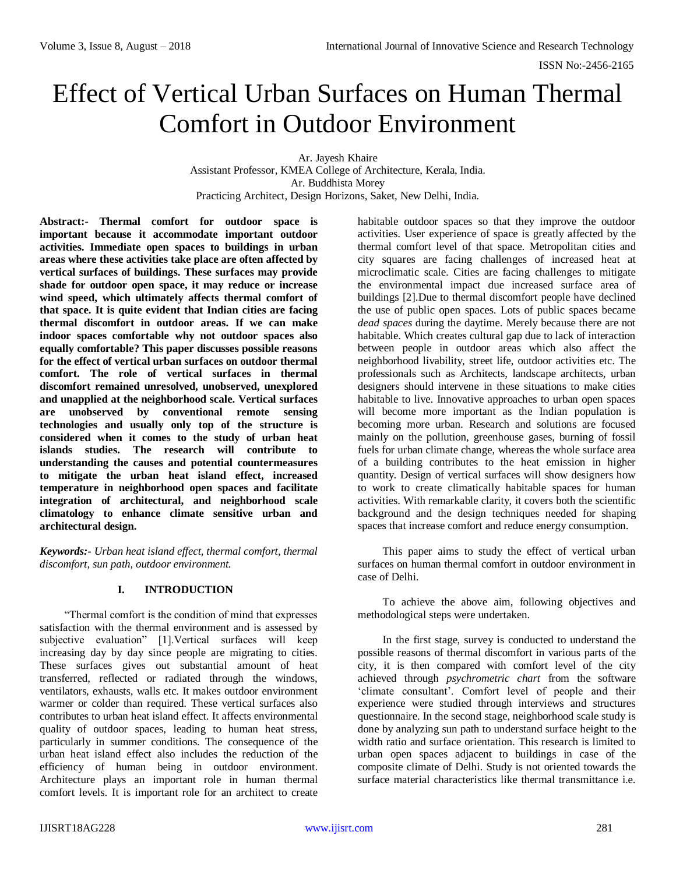# Effect of Vertical Urban Surfaces on Human Thermal Comfort in Outdoor Environment

Ar. Jayesh Khaire Assistant Professor, KMEA College of Architecture, Kerala, India. Ar. Buddhista Morey Practicing Architect, Design Horizons, Saket, New Delhi, India.

**Abstract:- Thermal comfort for outdoor space is important because it accommodate important outdoor activities. Immediate open spaces to buildings in urban areas where these activities take place are often affected by vertical surfaces of buildings. These surfaces may provide shade for outdoor open space, it may reduce or increase wind speed, which ultimately affects thermal comfort of that space. It is quite evident that Indian cities are facing thermal discomfort in outdoor areas. If we can make indoor spaces comfortable why not outdoor spaces also equally comfortable? This paper discusses possible reasons for the effect of vertical urban surfaces on outdoor thermal comfort. The role of vertical surfaces in thermal discomfort remained unresolved, unobserved, unexplored and unapplied at the neighborhood scale. Vertical surfaces are unobserved by conventional remote sensing technologies and usually only top of the structure is considered when it comes to the study of urban heat islands studies. The research will contribute to understanding the causes and potential countermeasures to mitigate the urban heat island effect, increased temperature in neighborhood open spaces and facilitate integration of architectural, and neighborhood scale climatology to enhance climate sensitive urban and architectural design.**

*Keywords:- Urban heat island effect, thermal comfort, thermal discomfort, sun path, outdoor environment.*

#### **I. INTRODUCTION**

"Thermal comfort is the condition of mind that expresses satisfaction with the thermal environment and is assessed by subjective evaluation" [1].Vertical surfaces will keep increasing day by day since people are migrating to cities. These surfaces gives out substantial amount of heat transferred, reflected or radiated through the windows, ventilators, exhausts, walls etc. It makes outdoor environment warmer or colder than required. These vertical surfaces also contributes to urban heat island effect. It affects environmental quality of outdoor spaces, leading to human heat stress, particularly in summer conditions. The consequence of the urban heat island effect also includes the reduction of the efficiency of human being in outdoor environment. Architecture plays an important role in human thermal comfort levels. It is important role for an architect to create

habitable outdoor spaces so that they improve the outdoor activities. User experience of space is greatly affected by the thermal comfort level of that space. Metropolitan cities and city squares are facing challenges of increased heat at microclimatic scale. Cities are facing challenges to mitigate the environmental impact due increased surface area of buildings [2].Due to thermal discomfort people have declined the use of public open spaces. Lots of public spaces became *dead spaces* during the daytime. Merely because there are not habitable. Which creates cultural gap due to lack of interaction between people in outdoor areas which also affect the neighborhood livability, street life, outdoor activities etc. The professionals such as Architects, landscape architects, urban designers should intervene in these situations to make cities habitable to live. Innovative approaches to urban open spaces will become more important as the Indian population is becoming more urban. Research and solutions are focused mainly on the pollution, greenhouse gases, burning of fossil fuels for urban climate change, whereas the whole surface area of a building contributes to the heat emission in higher quantity. Design of vertical surfaces will show designers how to work to create climatically habitable spaces for human activities. With remarkable clarity, it covers both the scientific background and the design techniques needed for shaping spaces that increase comfort and reduce energy consumption.

This paper aims to study the effect of vertical urban surfaces on human thermal comfort in outdoor environment in case of Delhi.

To achieve the above aim, following objectives and methodological steps were undertaken.

In the first stage, survey is conducted to understand the possible reasons of thermal discomfort in various parts of the city, it is then compared with comfort level of the city achieved through *psychrometric chart* from the software 'climate consultant'. Comfort level of people and their experience were studied through interviews and structures questionnaire. In the second stage, neighborhood scale study is done by analyzing sun path to understand surface height to the width ratio and surface orientation. This research is limited to urban open spaces adjacent to buildings in case of the composite climate of Delhi. Study is not oriented towards the surface material characteristics like thermal transmittance i.e.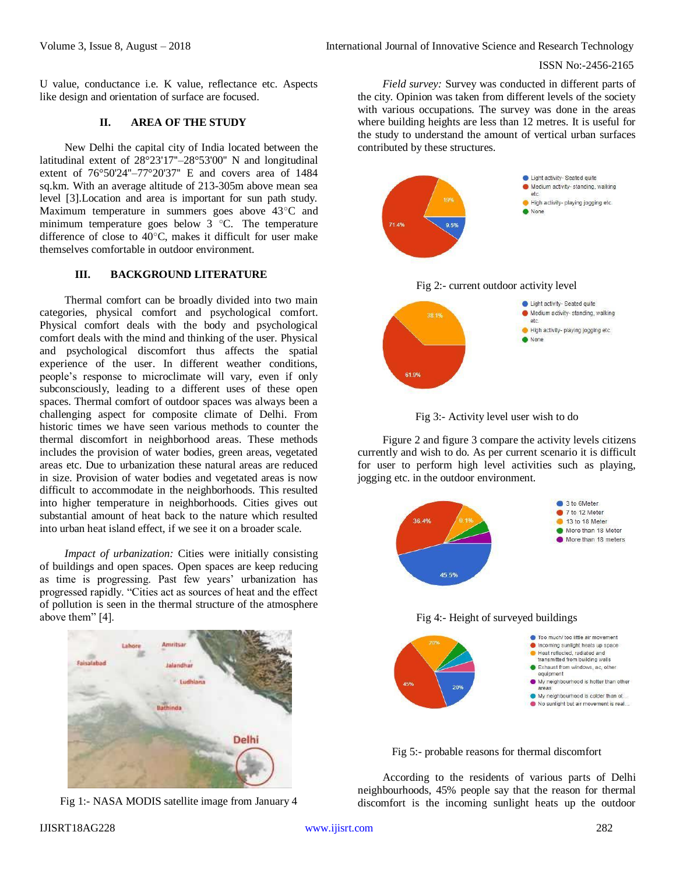#### ISSN No:-2456-2165

U value, conductance i.e. K value, reflectance etc. Aspects like design and orientation of surface are focused.

# **II. AREA OF THE STUDY**

New Delhi the capital city of India located between the latitudinal extent of 28°23'17''–28°53'00'' N and longitudinal extent of 76°50'24''–77°20'37'' E and covers area of 1484 sq.km. With an average altitude of 213-305m above mean sea level [3].Location and area is important for sun path study. Maximum temperature in summers goes above 43°C and minimum temperature goes below 3 °C. The temperature difference of close to 40°C, makes it difficult for user make themselves comfortable in outdoor environment.

## **III. BACKGROUND LITERATURE**

Thermal comfort can be broadly divided into two main categories, physical comfort and psychological comfort. Physical comfort deals with the body and psychological comfort deals with the mind and thinking of the user. Physical and psychological discomfort thus affects the spatial experience of the user. In different weather conditions, people's response to microclimate will vary, even if only subconsciously, leading to a different uses of these open spaces. Thermal comfort of outdoor spaces was always been a challenging aspect for composite climate of Delhi. From historic times we have seen various methods to counter the thermal discomfort in neighborhood areas. These methods includes the provision of water bodies, green areas, vegetated areas etc. Due to urbanization these natural areas are reduced in size. Provision of water bodies and vegetated areas is now difficult to accommodate in the neighborhoods. This resulted into higher temperature in neighborhoods. Cities gives out substantial amount of heat back to the nature which resulted into urban heat island effect, if we see it on a broader scale.

*Impact of urbanization:* Cities were initially consisting of buildings and open spaces. Open spaces are keep reducing as time is progressing. Past few years' urbanization has progressed rapidly. "Cities act as sources of heat and the effect of pollution is seen in the thermal structure of the atmosphere above them" [4].



Fig 1:- NASA MODIS satellite image from January 4

*Field survey:* Survey was conducted in different parts of the city. Opinion was taken from different levels of the society with various occupations. The survey was done in the areas where building heights are less than 12 metres. It is useful for the study to understand the amount of vertical urban surfaces contributed by these structures.





Figure 2 and figure 3 compare the activity levels citizens currently and wish to do. As per current scenario it is difficult for user to perform high level activities such as playing, jogging etc. in the outdoor environment.



Fig 5:- probable reasons for thermal discomfort

According to the residents of various parts of Delhi neighbourhoods, 45% people say that the reason for thermal discomfort is the incoming sunlight heats up the outdoor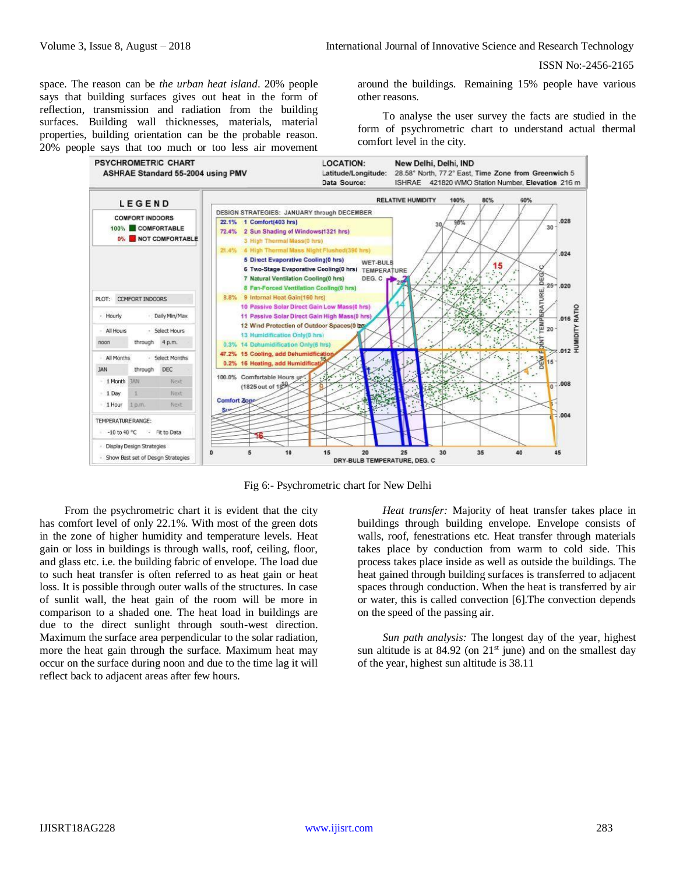space. The reason can be *the urban heat island*. 20% people says that building surfaces gives out heat in the form of reflection, transmission and radiation from the building surfaces. Building wall thicknesses, materials, material properties, building orientation can be the probable reason. 20% people says that too much or too less air movement around the buildings. Remaining 15% people have various other reasons.

To analyse the user survey the facts are studied in the form of psychrometric chart to understand actual thermal comfort level in the city.



Fig 6:- Psychrometric chart for New Delhi

From the psychrometric chart it is evident that the city has comfort level of only 22.1%. With most of the green dots in the zone of higher humidity and temperature levels. Heat gain or loss in buildings is through walls, roof, ceiling, floor, and glass etc. i.e. the building fabric of envelope. The load due to such heat transfer is often referred to as heat gain or heat loss. It is possible through outer walls of the structures. In case of sunlit wall, the heat gain of the room will be more in comparison to a shaded one. The heat load in buildings are due to the direct sunlight through south-west direction. Maximum the surface area perpendicular to the solar radiation, more the heat gain through the surface. Maximum heat may occur on the surface during noon and due to the time lag it will reflect back to adjacent areas after few hours.

*Heat transfer:* Majority of heat transfer takes place in buildings through building envelope. Envelope consists of walls, roof, fenestrations etc. Heat transfer through materials takes place by conduction from warm to cold side. This process takes place inside as well as outside the buildings. The heat gained through building surfaces is transferred to adjacent spaces through conduction. When the heat is transferred by air or water, this is called convection [6].The convection depends on the speed of the passing air.

*Sun path analysis:* The longest day of the year, highest sun altitude is at  $84.92$  (on  $21<sup>st</sup>$  june) and on the smallest day of the year, highest sun altitude is 38.11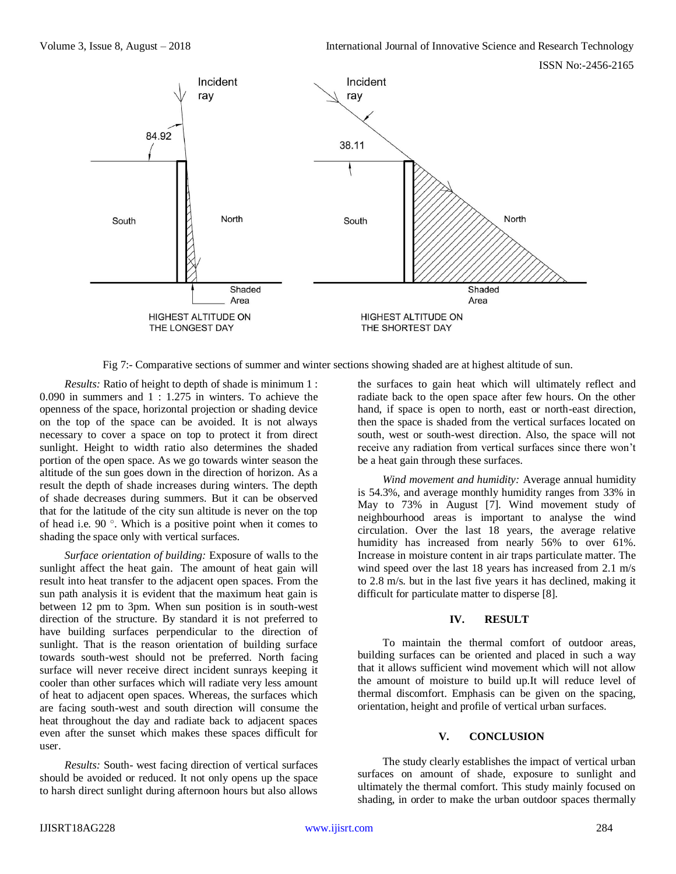

Fig 7:- Comparative sections of summer and winter sections showing shaded are at highest altitude of sun.

*Results:* Ratio of height to depth of shade is minimum 1 : 0.090 in summers and 1 : 1.275 in winters. To achieve the openness of the space, horizontal projection or shading device on the top of the space can be avoided. It is not always necessary to cover a space on top to protect it from direct sunlight. Height to width ratio also determines the shaded portion of the open space. As we go towards winter season the altitude of the sun goes down in the direction of horizon. As a result the depth of shade increases during winters. The depth of shade decreases during summers. But it can be observed that for the latitude of the city sun altitude is never on the top of head i.e. 90 °. Which is a positive point when it comes to shading the space only with vertical surfaces.

*Surface orientation of building:* Exposure of walls to the sunlight affect the heat gain. The amount of heat gain will result into heat transfer to the adjacent open spaces. From the sun path analysis it is evident that the maximum heat gain is between 12 pm to 3pm. When sun position is in south-west direction of the structure. By standard it is not preferred to have building surfaces perpendicular to the direction of sunlight. That is the reason orientation of building surface towards south-west should not be preferred. North facing surface will never receive direct incident sunrays keeping it cooler than other surfaces which will radiate very less amount of heat to adjacent open spaces. Whereas, the surfaces which are facing south-west and south direction will consume the heat throughout the day and radiate back to adjacent spaces even after the sunset which makes these spaces difficult for user.

*Results:* South- west facing direction of vertical surfaces should be avoided or reduced. It not only opens up the space to harsh direct sunlight during afternoon hours but also allows the surfaces to gain heat which will ultimately reflect and radiate back to the open space after few hours. On the other hand, if space is open to north, east or north-east direction, then the space is shaded from the vertical surfaces located on south, west or south-west direction. Also, the space will not receive any radiation from vertical surfaces since there won't be a heat gain through these surfaces.

*Wind movement and humidity:* Average annual humidity is 54.3%, and average monthly humidity ranges from 33% in May to 73% in August [7]. Wind movement study of neighbourhood areas is important to analyse the wind circulation. Over the last 18 years, the average relative humidity has increased from nearly 56% to over 61%. Increase in moisture content in air traps particulate matter. The wind speed over the last 18 years has increased from 2.1 m/s to 2.8 m/s. but in the last five years it has declined, making it difficult for particulate matter to disperse [8].

# **IV. RESULT**

To maintain the thermal comfort of outdoor areas, building surfaces can be oriented and placed in such a way that it allows sufficient wind movement which will not allow the amount of moisture to build up.It will reduce level of thermal discomfort. Emphasis can be given on the spacing, orientation, height and profile of vertical urban surfaces.

# **V. CONCLUSION**

The study clearly establishes the impact of vertical urban surfaces on amount of shade, exposure to sunlight and ultimately the thermal comfort. This study mainly focused on shading, in order to make the urban outdoor spaces thermally